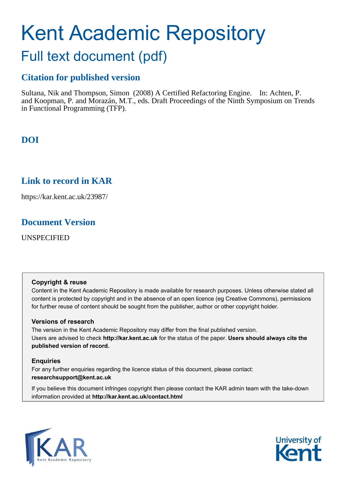# Kent Academic Repository

# Full text document (pdf)

## **Citation for published version**

Sultana, Nik and Thompson, Simon (2008) A Certified Refactoring Engine. In: Achten, P. and Koopman, P. and Morazán, M.T., eds. Draft Proceedings of the Ninth Symposium on Trends in Functional Programming (TFP).

# **DOI**

## **Link to record in KAR**

https://kar.kent.ac.uk/23987/

## **Document Version**

UNSPECIFIED

#### **Copyright & reuse**

Content in the Kent Academic Repository is made available for research purposes. Unless otherwise stated all content is protected by copyright and in the absence of an open licence (eg Creative Commons), permissions for further reuse of content should be sought from the publisher, author or other copyright holder.

#### **Versions of research**

The version in the Kent Academic Repository may differ from the final published version. Users are advised to check **http://kar.kent.ac.uk** for the status of the paper. **Users should always cite the published version of record.**

#### **Enquiries**

For any further enquiries regarding the licence status of this document, please contact: **researchsupport@kent.ac.uk**

If you believe this document infringes copyright then please contact the KAR admin team with the take-down information provided at **http://kar.kent.ac.uk/contact.html**



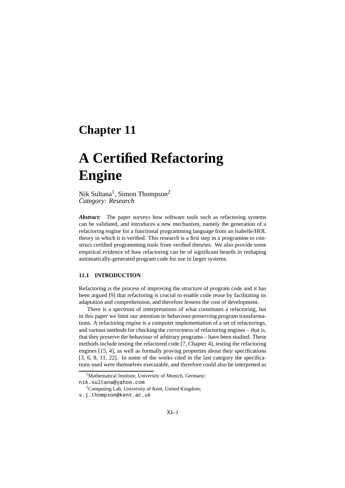# **Chapter 11**

# **A Certified Refactoring Engine**

#### Nik Sultana<sup>1</sup>, Simon Thompson<sup>2</sup> *Category: Research*

*Abstract:* The paper surveys how software tools such as refactoring systems can be validated, and introduces a new mechanism, namely the generation of a refactoring engine for a functional programming language from an Isabelle/HOL theory in which it is verified. This research is a first step in a programme to construct certified programming tools from verified theories. We also provide some empirical evidence of how refactoring can be of significant benefit in reshaping automatically-generated program code for use in larger systems.

#### **11.1 INTRODUCTION**

Refactoring is the process of improving the structure of program code and it has been argued [9] that refactoring is crucial to enable code reuse by facilitating its adaptation and comprehension, and therefore lessens the cost of development.

There is a spectrum of interpretations of what constitutes a refactoring, but in this paper we limit our attention to behaviour-preserving program transformations. A refactoring *engine* is a computer implementation of a set of refactorings, and various methods for checking the *correctness* of refactoring engines – that is, that they preserve the behaviour of arbitrary programs – have been studied. These methods include testing the refactored code [7, Chapter 4], testing the refactoring engines [15, 4], as well as formally proving properties about their specifications [3, 6, 8, 11, 22]. In some of the works cited in the last category the specifications used were themselves executable, and therefore could also be interpreted as

<sup>&</sup>lt;sup>1</sup>Mathematical Institute, University of Munich, Germany;

nik.sultana@yahoo.com

<sup>&</sup>lt;sup>2</sup>Computing Lab, University of Kent, United Kingdom;

s.j.thompson@kent.ac.uk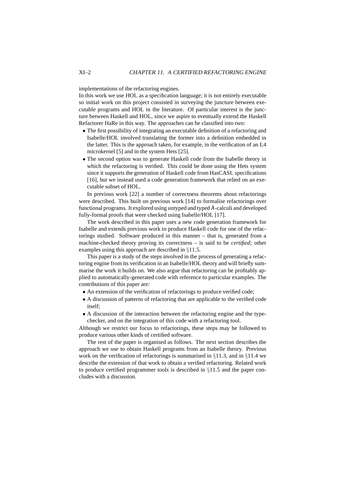implementations of the refactoring engines.

In this work we use HOL as a specification language; it is not entirely executable so initial work on this project consisted in surveying the juncture between executable programs and HOL in the literature. Of particular interest is the juncture between Haskell and HOL, since we aspire to eventually extend the Haskell Refactorer HaRe in this way. The approaches can be classified into two:

- The first possibility of integrating an executable definition of a refactoring and Isabelle/HOL involved translating the former into a definition embedded in the latter. This is the approach taken, for example, in the verification of an L4 microkernel [5] and in the system Hets [25].
- The second option was to generate Haskell code from the Isabelle theory in which the refactoring is verified. This could be done using the Hets system since it supports the generation of Haskell code from HasCASL specifications [16], but we instead used a code generation framework that relied on an executable subset of HOL.

In previous work [22] a number of correctness theorems about refactorings were described. This built on previous work [14] to formalise refactorings over functional programs. It explored using untyped and typed  $\lambda$ -calculi and developed fully-formal proofs that were checked using Isabelle/HOL [17].

The work described in this paper uses a new code generation framework for Isabelle and extends previous work to produce Haskell code for one of the refactorings studied. Software produced in this manner – that is, generated from a machine-checked theory proving its correctness – is said to be *certified*; other examples using this approach are described in §11.5.

This paper is a study of the steps involved in the process of generating a refactoring engine from its verification in an Isabelle/HOL theory and will briefly summarise the work it builds on. We also argue that refactoring can be profitably applied to automatically-generated code with reference to particular examples. The contributions of this paper are:

- An extension of the verification of refactorings to produce verified code;
- A discussion of patterns of refactoring that are applicable to the verified code itself;
- A discussion of the interaction between the refactoring engine and the typechecker, and on the integration of this code with a refactoring tool.

Although we restrict our focus to refactorings, these steps may be followed to produce various other kinds of certified software.

The rest of the paper is organised as follows. The next section describes the approach we use to obtain Haskell programs from an Isabelle theory. Previous work on the verification of refactorings is summarised in  $\S11.3$ , and in  $\S11.4$  we describe the extension of that work to obtain a verified refactoring. Related work to produce certified programmer tools is described in §11.5 and the paper concludes with a discussion.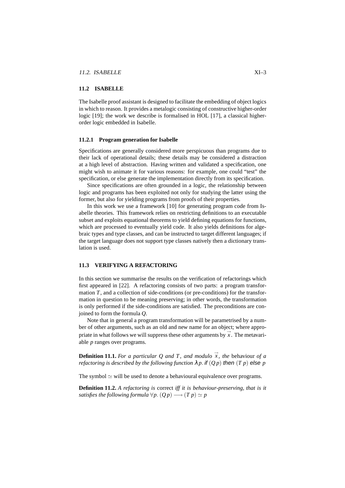#### **11.2 ISABELLE**

The Isabelle proof assistant is designed to facilitate the embedding of object logics in which to reason. It provides a metalogic consisting of constructive higher-order logic [19]; the work we describe is formalised in HOL [17], a classical higherorder logic embedded in Isabelle.

#### **11.2.1 Program generation for Isabelle**

Specifications are generally considered more perspicuous than programs due to their lack of operational details; these details may be considered a distraction at a high level of abstraction. Having written and validated a specification, one might wish to animate it for various reasons: for example, one could "test" the specification, or else generate the implementation directly from its specification.

Since specifications are often grounded in a logic, the relationship between logic and programs has been exploited not only for studying the latter using the former, but also for yielding programs from proofs of their properties.

In this work we use a framework [10] for generating program code from Isabelle theories. This framework relies on restricting definitions to an executable subset and exploits equational theorems to yield defining equations for functions, which are processed to eventually yield code. It also yields definitions for algebraic types and type classes, and can be instructed to target different languages; if the target language does not support type classes natively then a dictionary translation is used.

#### **11.3 VERIFYING A REFACTORING**

In this section we summarise the results on the verification of refactorings which first appeared in [22]. A refactoring consists of two parts: a program transformation *T*, and a collection of side-conditions (or pre-conditions) for the transformation in question to be meaning preserving; in other words, the transformation is only performed if the side-conditions are satisfied. The preconditions are conjoined to form the formula *Q*.

Note that in general a program transformation will be parametrised by a number of other arguments, such as an old and new name for an object; where appropriate in what follows we will suppress these other arguments by  $\vec{x}$ . The metavariable *p* ranges over programs.

**Definition 11.1.** For a particular Q and T, and modulo  $\vec{x}$ , the behaviour of a *refactoring is described by the following function*  $\lambda p$ . if  $(Q p)$  then  $(T p)$  else p

The symbol  $\simeq$  will be used to denote a behavioural equivalence over programs.

**Definition 11.2.** *A refactoring is* correct *iff it is behaviour-preserving, that is it satisfies the following formula*  $\forall p$ .  $(Q p) \longrightarrow (T p) \simeq p$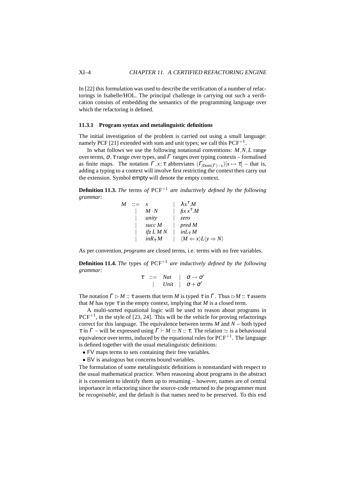In [22] this formulation was used to describe the verification of a number of refactorings in Isabelle/HOL. The principal challenge in carrying out such a verification consists of embedding the semantics of the programming language over which the refactoring is defined.

#### **11.3.1 Program syntax and metalinguistic definitions**

The initial investigation of the problem is carried out using a small language: namely PCF [21] extended with sum and unit types; we call this  $PCF^{+1}$ .

In what follows we use the following notational conventions: *M*,*N*,*L* range over terms,  $\sigma$ , τ range over types, and Γ ranges over typing contexts – formalised as finite maps. The notation  $\Gamma$ ,  $x: \tau$  abbreviates  $(\Gamma_{\text{Dom}(\Gamma)-x})[x \mapsto \tau]$  – that is, adding a typing to a context will involve first restricting the context then carry out the extension. Symbol empty will denote the empty context.

**Definition 11.3.** *The* terms *of* PCF+<sup>1</sup> *are inductively defined by the following grammar:*

| M | x              | $\lambda x^{\tau}$ .M                                              |
|---|----------------|--------------------------------------------------------------------|
|   | $M \cdot N$    | $\operatorname{fix} x^{\tau}.M$                                    |
|   | unity          | zero                                                               |
|   | succ $M$       | pred M                                                             |
|   | ifz $LMN$      | $inL_{\tau} M$                                                     |
|   | $inR_{\tau} M$ | $\langle M \leftarrow x \rangle L \langle y \Rightarrow N \rangle$ |

As per convention, *programs* are closed terms, i.e. terms with no free variables.

**Definition 11.4.** *The* types *of* PCF+<sup>1</sup> *are inductively defined by the following grammar:*

$$
\begin{array}{ccccc}\n\tau & ::= & Nat & | & \sigma \rightarrow \sigma' \\
& & | & Unit & | & \sigma + \sigma'\n\end{array}
$$

The notation  $\Gamma \triangleright M :: \tau$  asserts that term *M* is typed  $\tau$  in  $\Gamma$ . Thus  $\triangleright M :: \tau$  asserts that *M* has type  $\tau$  in the empty context, implying that *M* is a closed term.

A multi-sorted equational logic will be used to reason about programs in  $PCF^{+1}$ , in the style of [23, 24]. This will be the vehicle for proving refactorings correct for this language. The equivalence between terms  $M$  and  $N$  – both typed  $\tau$  in  $\Gamma$  – will be expressed using  $\Gamma \vdash M \simeq N :: \tau$ . The relation  $\simeq$  is a behavioural equivalence over terms, induced by the equational rules for  $PCF^{+1}$ . The language is defined together with the usual metalinguistic definitions:

- FV maps terms to sets containing their free variables.
- BV is analogous but concerns bound variables.

The formulation of some metalinguistic definitions is nonstandard with respect to the usual mathematical practice. When reasoning about programs in the abstract it is convenient to identify them up to renaming – however, names are of central importance in refactoring since the source-code returned to the programmer must be *recognisable*, and the default is that names need to be preserved. To this end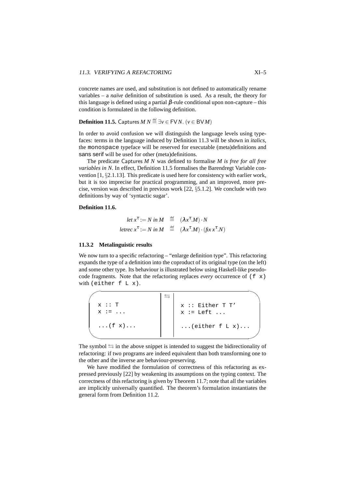concrete names are used, and substitution is not defined to automatically rename variables – a *naïve* definition of substitution is used. As a result, the theory for this language is defined using a partial  $β$ -rule conditional upon non-capture – this condition is formulated in the following definition.

**Definition 11.5.** Captures *M N*  $\stackrel{def}{=} \exists v \in FVN$ . ( $v \in BVM$ )

In order to avoid confusion we will distinguish the language levels using typefaces: terms in the language induced by Definition 11.3 will be shown in *italics*, the monospace typeface will be reserved for executable (meta)definitions and sans serif will be used for other (meta)definitions.

The predicate Captures *M N* was defined to formalise *M is free for all free variables in N*. In effect, Definition 11.5 formalises the Barendregt Variable convention [1, §2.1.13]. This predicate is used here for consistency with earlier work, but it is too imprecise for practical programming, and an improved, more precise, version was described in previous work [22, §5.1.2]. We conclude with two definitions by way of 'syntactic sugar'.

#### **Definition 11.6.**

$$
\begin{aligned}\n\text{let } x^{\tau} &:= N \text{ in } M & \stackrel{\text{def}}{=} (\lambda x^{\tau}.M) \cdot N \\
\text{letrec } x^{\tau} &:= N \text{ in } M & \stackrel{\text{def}}{=} (\lambda x^{\tau}.M) \cdot (\text{fix } x^{\tau}.N)\n\end{aligned}
$$

#### **11.3.2 Metalinguistic results**

We now turn to a specific refactoring – "enlarge definition type". This refactoring expands the type of a definition into the coproduct of its original type (on the left) and some other type. Its behaviour is illustrated below using Haskell-like pseudocode fragments. Note that the refactoring replaces *every* occurrence of  $(f \times x)$ with (either f L x).

| x :: T<br>$x := \ldots$ | $x ::$ Either T T'<br>$x := \text{Left} \dots$ |
|-------------------------|------------------------------------------------|
| $\ldots$ (f $x$ )       | $\ldots$ (either f L x)                        |

The symbol  $\leq$  in the above snippet is intended to suggest the bidirectionality of refactoring: if two programs are indeed equivalent than both transforming one to the other and the inverse are behaviour-preserving.

We have modified the formulation of correctness of this refactoring as expressed previously [22] by weakening its assumptions on the typing context. The correctness of this refactoring is given by Theorem 11.7; note that all the variables are implicitly universally quantified. The theorem's formulation instantiates the general form from Definition 11.2.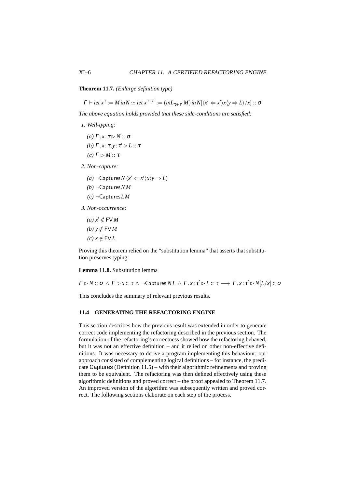#### **Theorem 11.7.** *(Enlarge definition type)*

 $\Gamma \vdash \text{let } x^{\tau} := M \text{ in } N \simeq \text{let } x^{\tau+\tau'} := (\text{in}L_{\tau+\tau'}M) \text{ in } N[\langle x' \Leftarrow x' \rangle x \langle y \Rightarrow L \rangle / x] :: \sigma$ 

*The above equation holds provided that these side-conditions are satisfied:*

- *1. Well-typing:*
	- *(a)*  $\Gamma, x : \tau \triangleright N :: \sigma$ *(b)*  $\Gamma$ *,x*: τ*,y*: τ'  $\triangleright$  *L* :: τ
	- *(c)*  $Γ$   $>$  *M* :: τ
- *2. Non-capture:*

*(a)* ¬Captures $N \langle x' \leftarrow x' \rangle x \langle y \Rightarrow L \rangle$ 

- *(b)* ¬Captures*N M*
- *(c)* ¬Captures*LM*
- *3. Non-occurrence:*
	- $(a) x' \notin FVM$  $(b)$   $y \notin$  FV*M*  $(c)$ *x* ∉ FV*L*

Proving this theorem relied on the "substitution lemma" that asserts that substitution preserves typing:

#### **Lemma 11.8.** Substitution lemma

 $\Gamma \rhd N :: \sigma \,\wedge\, \Gamma \rhd x :: \tau \,\wedge\, \neg \textsf{Captures}\, NL \,\wedge\, \Gamma, x :\tau' \rhd L :: \tau \,\longrightarrow\, \Gamma, x :\tau' \rhd N[L/x] :: \sigma$ 

This concludes the summary of relevant previous results.

#### **11.4 GENERATING THE REFACTORING ENGINE**

This section describes how the previous result was extended in order to generate correct code implementing the refactoring described in the previous section. The formulation of the refactoring's correctness showed how the refactoring behaved, but it was not an effective definition – and it relied on other non-effective definitions. It was necessary to derive a program implementing this behaviour; our approach consisted of complementing logical definitions – for instance, the predicate Captures (Definition 11.5) – with their algorithmic refinements and proving them to be equivalent. The refactoring was then defined effectively using these algorithmic definitions and proved correct – the proof appealed to Theorem 11.7. An improved version of the algorithm was subsequently written and proved correct. The following sections elaborate on each step of the process.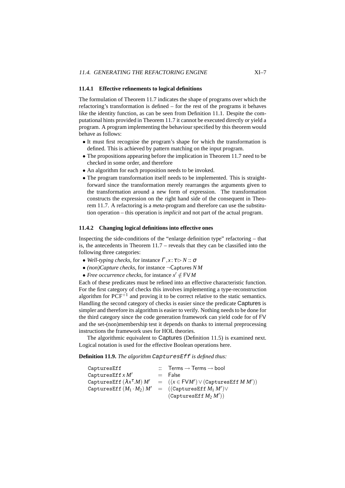#### **11.4.1 Effective refinements to logical definitions**

The formulation of Theorem 11.7 indicates the shape of programs over which the refactoring's transformation is defined – for the rest of the programs it behaves like the identity function, as can be seen from Definition 11.1. Despite the computational hints provided in Theorem 11.7 it cannot be executed directly or yield a program. A program implementing the behaviour specified by this theorem would behave as follows:

- It must first recognise the program's shape for which the transformation is defined. This is achieved by pattern matching on the input program.
- The propositions appearing before the implication in Theorem 11.7 need to be checked in some order, and therefore
- An algorithm for each proposition needs to be invoked.
- The program transformation itself needs to be implemented. This is straightforward since the transformation merely rearranges the arguments given to the transformation around a new form of expression. The transformation constructs the expression on the right hand side of the consequent in Theorem 11.7. A refactoring is a *meta*-program and therefore can use the substitution operation – this operation is *implicit* and not part of the actual program.

#### **11.4.2 Changing logical definitions into effective ones**

Inspecting the side-conditions of the "enlarge definition type" refactoring – that is, the antecedents in Theorem 11.7 – reveals that they can be classified into the following three categories:

- *Well-typing checks*, for instance  $\Gamma, x : \tau \triangleright N :: \sigma$
- *(non)Capture checks*, for instance ¬Captures *N M*
- *Free occurrence checks*, for instance  $x' \notin FVM$

Each of these predicates must be refined into an effective characteristic function. For the first category of checks this involves implementing a type-reconstruction algorithm for  $PCF^{+1}$  and proving it to be correct relative to the static semantics. Handling the second category of checks is easier since the predicate Captures is simpler and therefore its algorithm is easier to verify. Nothing needs to be done for the third category since the code generation framework can yield code for of FV and the set-(non)membership test it depends on thanks to internal preprocessing instructions the framework uses for HOL theories.

The algorithmic equivalent to Captures (Definition 11.5) is examined next. Logical notation is used for the effective Boolean operations here.

**Definition 11.9.** *The algorithm* CapturesEff *is defined thus:*

| CapturesEff                                                           | $\therefore$ Terms $\rightarrow$ Terms $\rightarrow$ bool |
|-----------------------------------------------------------------------|-----------------------------------------------------------|
| CapturesEff $x M'$                                                    | $=$ False                                                 |
| CapturesEff $(\lambda x^{\tau}.M)$ M'                                 | $= ((x \in FVM') \vee (CapturesEff M M'))$                |
| CapturesEff $(M_1 \cdot M_2) M' = ((\text{CapturesEff } M_1 M') \vee$ |                                                           |
|                                                                       | (CapturesEff M <sub>2</sub> M'))                          |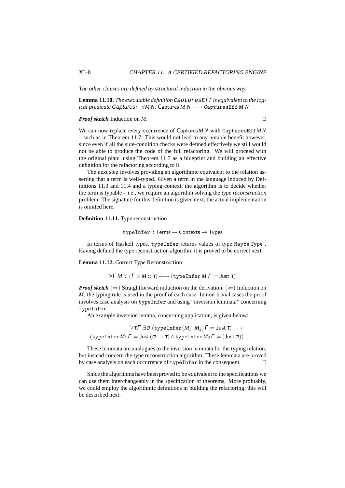*The other clauses are defined by structural induction in the obvious way.*

**Lemma 11.10.** *The executable definition* CapturesEff *is equivalent to the logical predicate* Captures*:* ∀*M N*. Captures *M N* ←→ CapturesEff *M N*

#### *Proof sketch* Induction on *M*. □

We can now replace every occurrence of Captures*M N* with CapturesEff*M N* – such as in Theorem 11.7. This would not lead to any notable benefit however, since even if all the side-condition checks were defined effectively we still would not be able to produce the code of the full refactoring. We will proceed with the original plan: using Theorem 11.7 as a blueprint and building an effective definition for the refactoring according to it.

The next step involves providing an algorithmic equivalent to the relation asserting that a term is well-typed. Given a term in the language induced by Definitions 11.3 and 11.4 and a typing context, the algorithm is to decide whether the term is typable – i.e., we require an algorithm solving the *type reconstruction* problem. The signature for this definition is given next; the actual implementation is omitted here.

#### **Definition 11.11.** Type reconstruction

 $typeInfer :: Terms \rightarrow Contexts \rightarrow Types$ 

In terms of Haskell types, typeInfer returns values of type Maybe Type . Having defined the type reconstruction algorithm it is proved to be correct next.

**Lemma 11.12.** Correct Type Reconstruction

$$
\forall \Gamma \, M \, \tau. \ ( \Gamma \triangleright M :: \tau ) \longleftrightarrow (\text{typeInfer } M \, \Gamma = \text{Just } \tau )
$$

*Proof sketch* ( $\Rightarrow$ ) Straightforward induction on the derivation. ( $\Leftarrow$ ) Induction on *M*; the typing rule is used in the proof of each case. In non-trivial cases the proof involves case analysis on typeInfer and using "inversion lemmata" concerning typeInfer.

An example inversion lemma, concerning application, is given below:

$$
\forall \tau \Gamma. \exists \sigma. (\text{typeInfer}(M_1 \cdot M_2) \Gamma = \text{Just } \tau) \longrightarrow \\ (\text{typeInfer} M_1 \Gamma = \text{Just } (\sigma \to \tau) \land \text{typeInfer} M_2 \Gamma = (\text{Just } \sigma))
$$

These lemmata are analogues to the inversion lemmata for the typing relation, but instead concern the type reconstruction algorithm. These lemmata are proved by case analysis on each occurrence of typeInfer in the consequent. ⊓⊔

Since the algorithms have been proved to be equivalent to the specifications we can use them interchangeably in the specification of theorems. More profitably, we could employ the algorithmic definitions in building the refactoring; this will be described next.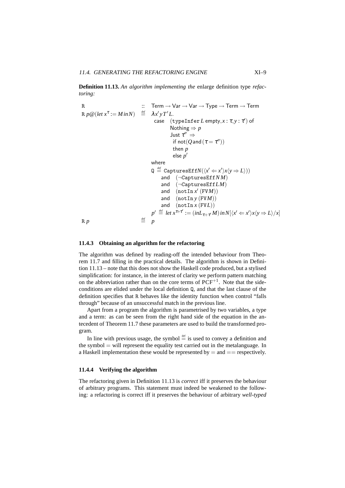**Definition 11.13.** *An algorithm implementing the* enlarge definition type *refactoring:*

R  
\n
$$
\begin{array}{rcl}\n\text{R} & \text{:::} & \text{Term} \rightarrow \text{Var} \rightarrow \text{Var} \rightarrow \text{Type} \rightarrow \text{Term} \rightarrow \text{Term} \\
\text{R} \, p \, @ (let \, x^{\tau} := \text{Min} N) & \stackrel{\text{def}}{=} & \lambda x' y \, T' L. \\
\text{case} & \text{(typeInfer } L \text{ empty}, x : \tau, y : \tau') \text{ of} \\
 & \text{Nothing} \Rightarrow p \\
 & \text{Just } \tau'' \Rightarrow \\
 & \text{if not} (Q \, \text{and} \, (\tau = \tau'')) \\
 & \text{then } p \\
 & \text{else } p' \\
 & \text{where} \\
 & \text{Q} \stackrel{\text{def}}{=} \text{CapturesEff} N(\langle x' \leftarrow x' \rangle x \langle y \Rightarrow L \rangle)) \\
 & \text{and} \\
 & (\neg \text{CapturesEff} LM) \\
 & \text{and} \\
 & (\text{notIn } x' \, (\text{FVM})) \\
 & \text{and} \\
 & (\text{notIn } x \, (\text{FVM})) \\
 & \text{and} \\
 & (\text{notIn } x \, (\text{FVL})) \\
 & \text{and} \\
 & \text{forIn } x \, (\text{FVL})) \\
 & p' \stackrel{\text{def}}{=} let \, x^{\tau + \tau'} := (\text{in} L_{\tau + \tau'} M) \, \text{in} N[\langle x' \leftarrow x' \rangle x \langle y \Rightarrow L \rangle / x] \\
 & \stackrel{\text{def}}{=} p\n\end{array}
$$

#### **11.4.3 Obtaining an algorithm for the refactoring**

The algorithm was defined by reading-off the intended behaviour from Theorem 11.7 and filling in the practical details. The algorithm is shown in Definition 11.13 – note that this does not show the Haskell code produced, but a stylised simplification: for instance, in the interest of clarity we perform pattern matching on the abbreviation rather than on the core terms of  $PCF^{+1}$ . Note that the sideconditions are elided under the local definition Q, and that the last clause of the definition specifies that R behaves like the identity function when control "falls through" because of an unsuccessful match in the previous line.

Apart from a program the algorithm is parametrised by two variables, a type and a term: as can be seen from the right hand side of the equation in the antecedent of Theorem 11.7 these parameters are used to build the transformed program.

In line with previous usage, the symbol  $\stackrel{\text{def}}{=}$  is used to convey a definition and the symbol  $=$  will represent the equality test carried out in the metalanguage. In a Haskell implementation these would be represented by  $=$  and  $=$  respectively.

#### **11.4.4 Verifying the algorithm**

The refactoring given in Definition 11.13 is *correct* iff it preserves the behaviour of arbitrary programs. This statement must indeed be weakened to the following: a refactoring is correct iff it preserves the behaviour of arbitrary *well-typed*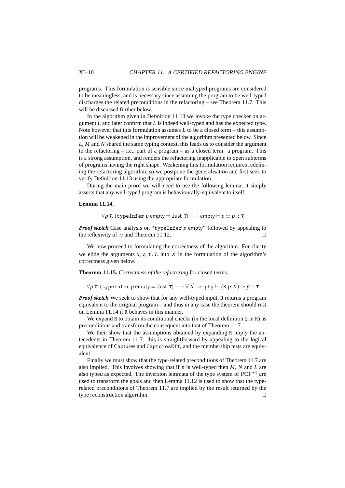programs. This formulation is sensible since maltyped programs are considered to be meaningless, and is necessary since assuming the program to be well-typed discharges the related preconditions in the refactoring – see Theorem 11.7. This will be discussed further below.

In the algorithm given in Definition 11.13 we invoke the type checker on argument *L* and later confirm that *L* is indeed well-typed and has the expected type. Note however that this formulation assumes *L* to be a closed term – this assumption will be weakened in the improvement of the algorithm presented below. Since *L*, *M* and *N* shared the same typing context, this leads us to consider the argument to the refactoring  $-$  i.e., part of a program  $-$  as a closed term: a program. This is a strong assumption, and renders the refactoring inapplicable to open subterms of programs having the right shape. Weakening this formulation requires redefining the refactoring algorithm, so we postpone the generalisation and first seek to verify Definition 11.13 using the appropriate formulation.

During the main proof we will need to use the following lemma; it simply asserts that any well-typed program is behaviourally-equivalent to itself.

#### **Lemma 11.14.**

$$
\forall p \tau. \ (\text{typeInfer } p \text{ empty} = \text{Just } \tau) \longrightarrow \text{empty} \vdash p \simeq p :: \tau
$$

*Proof sketch* Case analysis on "typeInfer *p* empty" followed by appealing to the reflexivity of  $\simeq$  and Theorem 11.12. □

We now proceed to formulating the correctness of the algorithm. For clarity we elide the arguments  $x, y, \tau', L$  into  $\vec{x}$  in the formulation of the algorithm's correctness given below.

**Theorem 11.15.** *Correctness of the refactoring* for closed terms*.*

 $\forall p \ \tau.$   $(\texttt{typeInfer}\ p\ \texttt{empty} = \texttt{Just}\ \tau) \longrightarrow \forall\ \overset{\rightarrow}{x}$  .  $\texttt{empty} \vdash (\texttt{R}\ p\ \overset{\rightarrow}{x}) \simeq p :: \tau$ 

*Proof sketch* We seek to show that for any well-typed input, R returns a program equivalent to the original program – and thus in any case the theorem should rest on Lemma 11.14 if R behaves in this manner.

We expand R to obtain its conditional checks (in the local definition  $Q$  in R) as preconditions and transform the consequent into that of Theorem 11.7.

We then show that the assumptions obtained by expanding R imply the antecedents in Theorem 11.7: this is straightforward by appealing to the logical equivalence of Captures and CapturesEff, and the membership tests are equivalent.

Finally we must show that the type-related preconditions of Theorem 11.7 are also implied. This involves showing that if *p* is well-typed then *M*, *N* and *L* are also typed as expected. The inversion lemmata of the type system of  $PCF^{+1}$  are used to transform the goals and then Lemma 11.12 is used to show that the typerelated preconditions of Theorem 11.7 are implied by the result returned by the type reconstruction algorithm. ⊓⊔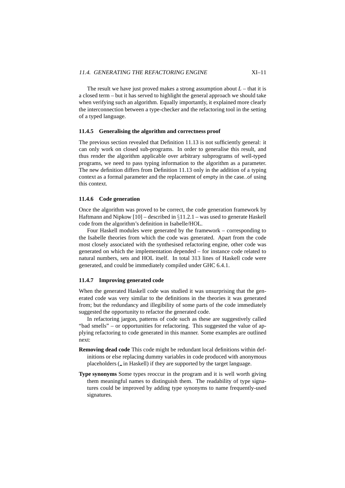The result we have just proved makes a strong assumption about  $L$  – that it is a closed term – but it has served to highlight the general approach we should take when verifying such an algorithm. Equally importantly, it explained more clearly the interconnection between a type-checker and the refactoring tool in the setting of a typed language.

#### **11.4.5 Generalising the algorithm and correctness proof**

The previous section revealed that Definition 11.13 is not sufficiently general: it can only work on closed sub-programs. In order to generalise this result, and thus render the algorithm applicable over arbitrary subprograms of well-typed programs, we need to pass typing information to the algorithm as a parameter. The new definition differs from Definition 11.13 only in the addition of a typing context as a formal parameter and the replacement of empty in the case..of using this context.

#### **11.4.6 Code generation**

Once the algorithm was proved to be correct, the code generation framework by Haftmann and Nipkow  $[10]$  – described in  $\S11.2.1$  – was used to generate Haskell code from the algorithm's definition in Isabelle/HOL.

Four Haskell modules were generated by the framework – corresponding to the Isabelle theories from which the code was generated. Apart from the code most closely associated with the synthesised refactoring engine, other code was generated on which the implementation depended – for instance code related to natural numbers, sets and HOL itself. In total 313 lines of Haskell code were generated, and could be immediately compiled under GHC 6.4.1.

#### **11.4.7 Improving generated code**

When the generated Haskell code was studied it was unsurprising that the generated code was very similar to the definitions in the theories it was generated from; but the redundancy and illegibility of some parts of the code immediately suggested the opportunity to refactor the generated code.

In refactoring jargon, patterns of code such as these are suggestively called "bad smells" – or opportunities for refactoring. This suggested the value of applying refactoring to code generated in this manner. Some examples are outlined next:

- **Removing dead code** This code might be redundant local definitions within definitions or else replacing dummy variables in code produced with anonymous placeholders ( in Haskell) if they are supported by the target language.
- **Type synonyms** Some types reoccur in the program and it is well worth giving them meaningful names to distinguish them. The readability of type signatures could be improved by adding type synonyms to name frequently-used signatures.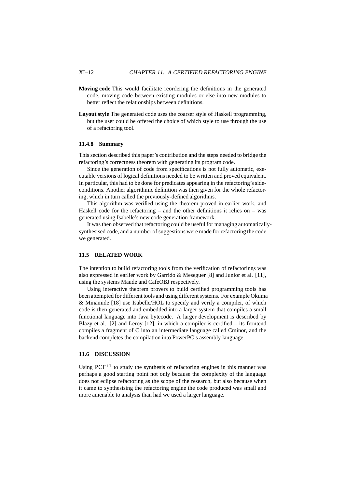- **Moving code** This would facilitate reordering the definitions in the generated code, moving code between existing modules or else into new modules to better reflect the relationships between definitions.
- **Layout style** The generated code uses the coarser style of Haskell programming, but the user could be offered the choice of which style to use through the use of a refactoring tool.

#### **11.4.8 Summary**

This section described this paper's contribution and the steps needed to bridge the refactoring's correctness theorem with generating its program code.

Since the generation of code from specifications is not fully automatic, executable versions of logical definitions needed to be written and proved equivalent. In particular, this had to be done for predicates appearing in the refactoring's sideconditions. Another algorithmic definition was then given for the whole refactoring, which in turn called the previously-defined algorithms.

This algorithm was verified using the theorem proved in earlier work, and Haskell code for the refactoring – and the other definitions it relies on – was generated using Isabelle's new code generation framework.

It was then observed that refactoring could be useful for managing automaticallysynthesised code, and a number of suggestions were made for refactoring the code we generated.

#### **11.5 RELATED WORK**

The intention to build refactoring tools from the verification of refactorings was also expressed in earlier work by Garrido & Meseguer [8] and Junior et al. [11], using the systems Maude and CafeOBJ respectively.

Using interactive theorem provers to build certified programming tools has been attempted for different tools and using different systems. For example Okuma & Minamide [18] use Isabelle/HOL to specify and verify a compiler, of which code is then generated and embedded into a larger system that compiles a small functional language into Java bytecode. A larger development is described by Blazy et al. [2] and Leroy [12], in which a compiler is certified – its frontend compiles a fragment of C into an intermediate language called Cminor, and the backend completes the compilation into PowerPC's assembly language.

#### **11.6 DISCUSSION**

Using  $PCF^{+1}$  to study the synthesis of refactoring engines in this manner was perhaps a good starting point not only because the complexity of the language does not eclipse refactoring as the scope of the research, but also because when it came to synthesising the refactoring engine the code produced was small and more amenable to analysis than had we used a larger language.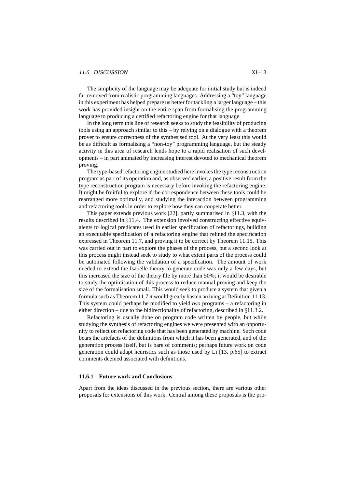#### 11.6. DISCUSSION XI–13

The simplicity of the language may be adequate for initial study but is indeed far removed from realistic programming languages. Addressing a "toy" language in this experiment has helped prepare us better for tackling a larger language – this work has provided insight on the entire span from formalising the programming language to producing a certified refactoring engine for that language.

In the long term this line of research seeks to study the feasibility of producing tools using an approach similar to this – by relying on a dialogue with a theorem prover to ensure correctness of the synthesised tool. At the very least this would be as difficult as formalising a "non-toy" programming language, but the steady activity in this area of research lends hope to a rapid realisation of such developments – in part animated by increasing interest devoted to mechanical theorem proving.

The type-based refactoring engine studied here invokes the type reconstruction program as part of its operation and, as observed earlier, a positive result from the type reconstruction program is necessary before invoking the refactoring engine. It might be fruitful to explore if the correspondence between these tools could be rearranged more optimally, and studying the interaction between programming and refactoring tools in order to explore how they can cooperate better.

This paper extends previous work [22], partly summarised in §11.3, with the results described in §11.4. The extension involved constructing effective equivalents to logical predicates used in earlier specification of refactorings, building an executable specification of a refactoring engine that refined the specification expressed in Theorem 11.7, and proving it to be correct by Theorem 11.15. This was carried out in part to explore the phases of the process, but a second look at this process might instead seek to study to what extent parts of the process could be automated following the validation of a specification. The amount of work needed to extend the Isabelle theory to generate code was only a few days, but this increased the size of the theory file by more than 50%; it would be desirable to study the optimisation of this process to reduce manual proving and keep the size of the formalisation small. This would seek to produce a system that given a formula such as Theorem 11.7 it would greatly hasten arriving at Definition 11.13. This system could perhaps be modified to yield *two* programs – a refactoring in either direction – due to the bidirectionality of refactoring, described in §11.3.2.

Refactoring is usually done on program code written by people, but while studying the synthesis of refactoring engines we were presented with an opportunity to reflect on refactoring code that has been generated by machine. Such code bears the artefacts of the definitions from which it has been generated, and of the generation process itself, but is bare of comments; perhaps future work on code generation could adapt heuristics such as those used by Li [13, p.65] to extract comments deemed associated with definitions.

#### **11.6.1 Future work and Conclusions**

Apart from the ideas discussed in the previous section, there are various other proposals for extensions of this work. Central among these proposals is the pro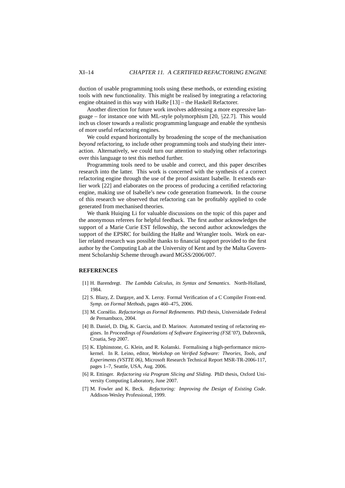duction of usable programming tools using these methods, or extending existing tools with new functionality. This might be realised by integrating a refactoring engine obtained in this way with HaRe [13] – the Haskell Refactorer.

Another direction for future work involves addressing a more expressive language – for instance one with ML-style polymorphism [20, §22.7]. This would inch us closer towards a realistic programming language and enable the synthesis of more useful refactoring engines.

We could expand horizontally by broadening the scope of the mechanisation *beyond* refactoring, to include other programming tools and studying their interaction. Alternatively, we could turn our attention to studying other refactorings over this language to test this method further.

Programming tools need to be usable and correct, and this paper describes research into the latter. This work is concerned with the synthesis of a correct refactoring engine through the use of the proof assistant Isabelle. It extends earlier work [22] and elaborates on the process of producing a certified refactoring engine, making use of Isabelle's new code generation framework. In the course of this research we observed that refactoring can be profitably applied to code generated from mechanised theories.

We thank Huiqing Li for valuable discussions on the topic of this paper and the anonymous referees for helpful feedback. The first author acknowledges the support of a Marie Curie EST fellowship, the second author acknowledges the support of the EPSRC for building the HaRe and Wrangler tools. Work on earlier related research was possible thanks to financial support provided to the first author by the Computing Lab at the University of Kent and by the Malta Government Scholarship Scheme through award MGSS/2006/007.

#### **REFERENCES**

- [1] H. Barendregt. *The Lambda Calculus, its Syntax and Semantics*. North-Holland, 1984.
- [2] S. Blazy, Z. Dargaye, and X. Leroy. Formal Verification of a C Compiler Front-end. *Symp. on Formal Methods*, pages 460–475, 2006.
- [3] M. Cornélio. *Refactorings as Formal Refinements*. PhD thesis, Universidade Federal de Pernambuco, 2004.
- [4] B. Daniel, D. Dig, K. Garcia, and D. Marinov. Automated testing of refactoring engines. In *Proceedings of Foundations of Software Engineering (FSE'07)*, Dubrovnik, Croatia, Sep 2007.
- [5] K. Elphinstone, G. Klein, and R. Kolanski. Formalising a high-performance microkernel. In R. Leino, editor, *Workshop on Verified Software: Theories, Tools, and Experiments (VSTTE 06)*, Microsoft Research Technical Report MSR-TR-2006-117, pages 1–7, Seattle, USA, Aug. 2006.
- [6] R. Ettinger. *Refactoring via Program Slicing and Sliding*. PhD thesis, Oxford University Computing Laboratory, June 2007.
- [7] M. Fowler and K. Beck. *Refactoring: Improving the Design of Existing Code*. Addison-Wesley Professional, 1999.